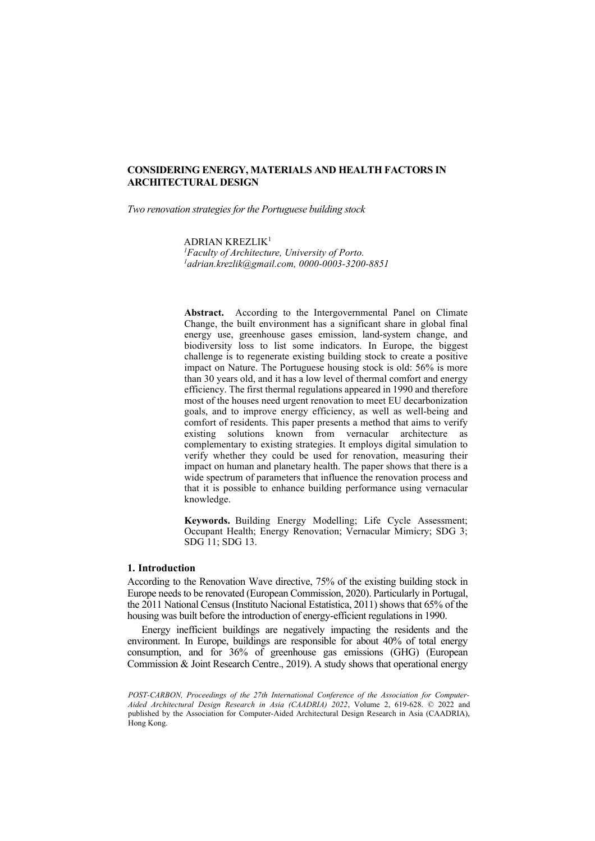*Two renovation strategies for the Portuguese building stock*

ADRIAN KREZLIK1 <sup>1</sup> Faculty of Architecture, University of Porto.<br><sup>1</sup>adrian krezlik@omail.com\_0000-0003-3200. *[adrian.krezlik@gmail.com,](mailto:adrian.krezlik@gmail.com) 0000-0003-3200-8851*

Abstract. According to the Intergovernmental Panel on Climate Change, the built environment has a significant share in global final energy use, greenhouse gases emission, land-system change, and biodiversity loss to list some indicators. In Europe, the biggest challenge is to regenerate existing building stock to create a positive impact on Nature. The Portuguese housing stock is old: 56% is more than 30 years old, and it has a low level of thermal comfort and energy efficiency. The first thermal regulations appeared in 1990 and therefore most of the houses need urgent renovation to meet EU decarbonization goals, and to improve energy efficiency, as well as well-being and comfort of residents. This paper presents a method that aims to verify existing solutions known from vernacular architecture as complementary to existing strategies. It employs digital simulation to verify whether they could be used for renovation, measuring their impact on human and planetary health. The paper shows that there is a wide spectrum of parameters that influence the renovation process and that it is possible to enhance building performance using vernacular knowledge.

**Keywords.** Building Energy Modelling; Life Cycle Assessment; Occupant Health; Energy Renovation; Vernacular Mimicry; SDG 3; SDG 11; SDG 13.

### **1. Introduction**

According to the Renovation Wave directive, 75% of the existing building stock in Europe needs to be renovated (European Commission, 2020). Particularly in Portugal, the 2011 National Census (Instituto Nacional Estatística, 2011) shows that 65% of the housing was built before the introduction of energy-efficient regulations in 1990.

Energy inefficient buildings are negatively impacting the residents and the environment. In Europe, buildings are responsible for about 40% of total energy consumption, and for 36% of greenhouse gas emissions (GHG) (European Commission & Joint Research Centre., 2019). A study shows that operational energy

*POST-CARBON, Proceedings of the 27th International Conference of the Association for Computer-Aided Architectural Design Research in Asia (CAADRIA) 2022*, Volume 2, 619-628. © 2022 and published by the Association for Computer-Aided Architectural Design Research in Asia (CAADRIA), Hong Kong.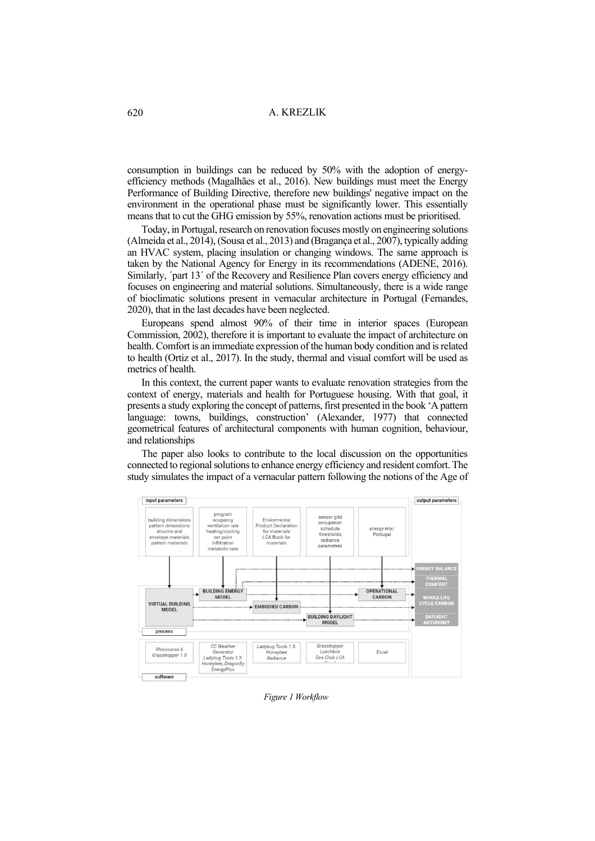consumption in buildings can be reduced by 50% with the adoption of energyefficiency methods (Magalhães et al., 2016). New buildings must meet the Energy Performance of Building Directive, therefore new buildings' negative impact on the environment in the operational phase must be significantly lower. This essentially means that to cut the GHG emission by 55%, renovation actions must be prioritised.

Today, in Portugal, research on renovation focuses mostly on engineering solutions (Almeida et al., 2014), (Sousa et al., 2013) and (Bragança et al., 2007), typically adding an HVAC system, placing insulation or changing windows. The same approach is taken by the National Agency for Energy in its recommendations (ADENE, 2016). Similarly, ´part 13´ of the Recovery and Resilience Plan covers energy efficiency and focuses on engineering and material solutions. Simultaneously, there is a wide range of bioclimatic solutions present in vernacular architecture in Portugal (Fernandes, 2020), that in the last decades have been neglected.

Europeans spend almost 90% of their time in interior spaces (European Commission, 2002), therefore it is important to evaluate the impact of architecture on health. Comfort is an immediate expression of the human body condition and is related to health (Ortiz et al., 2017). In the study, thermal and visual comfort will be used as metrics of health.

In this context, the current paper wants to evaluate renovation strategies from the context of energy, materials and health for Portuguese housing. With that goal, it presents a study exploring the concept of patterns, first presented in the book 'A pattern language: towns, buildings, construction' (Alexander, 1977) that connected geometrical features of architectural components with human cognition, behaviour, and relationships

The paper also looks to contribute to the local discussion on the opportunities connected to regional solutions to enhance energy efficiency and resident comfort. The study simulates the impact of a vernacular pattern following the notions of the Age of



*Figure 1 Workflow*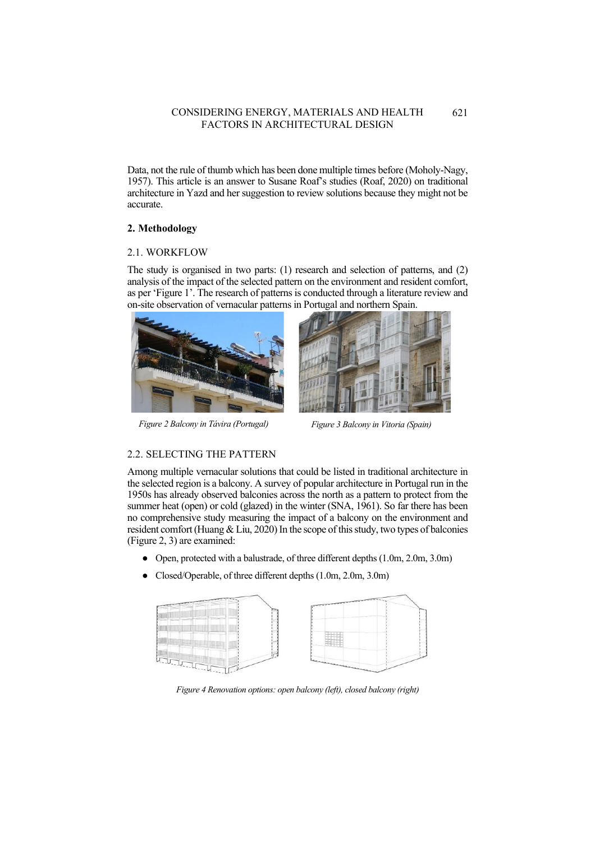Data, not the rule of thumb which has been done multiple times before (Moholy-Nagy, 1957). This article is an answer to Susane Roaf's studies (Roaf, 2020) on traditional architecture in Yazd and her suggestion to review solutions because they might not be accurate.

# **2. Methodology**

# 2.1. WORKFLOW

The study is organised in two parts: (1) research and selection of patterns, and (2) analysis of the impact of the selected pattern on the environment and resident comfort, as per 'Figure 1'. The research of patterns is conducted through a literature review and on-site observation of vernacular patterns in Portugal and northern Spain.



*Figure 2 Balcony in Távira (Portugal) Figure 3 Balcony in Vitoria (Spain)*



# 2.2. SELECTING THE PATTERN

Among multiple vernacular solutions that could be listed in traditional architecture in the selected region is a balcony. A survey of popular architecture in Portugal run in the 1950s has already observed balconies across the north as a pattern to protect from the summer heat (open) or cold (glazed) in the winter (SNA, 1961). So far there has been no comprehensive study measuring the impact of a balcony on the environment and resident comfort (Huang  $&$  Liu, 2020) In the scope of this study, two types of balconies (Figure 2, 3) are examined:

- Open, protected with a balustrade, of three different depths (1.0m, 2.0m, 3.0m)
- Closed/Operable, of three different depths (1.0m, 2.0m, 3.0m)



*Figure 4 Renovation options: open balcony (left), closed balcony (right)*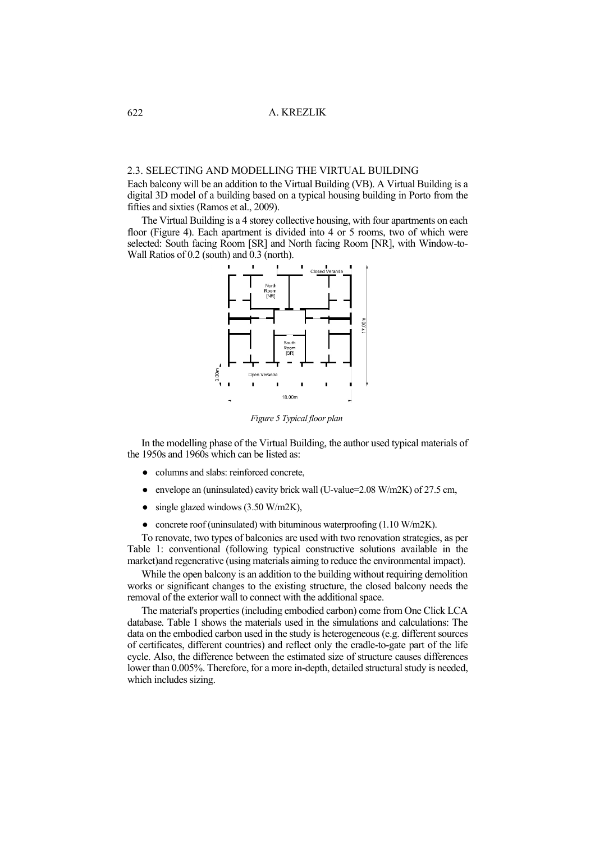# 2.3. SELECTING AND MODELLING THE VIRTUAL BUILDING

Each balcony will be an addition to the Virtual Building (VB). A Virtual Building is a digital 3D model of a building based on a typical housing building in Porto from the fifties and sixties (Ramos et al., 2009).

The Virtual Building is a 4 storey collective housing, with four apartments on each floor (Figure 4). Each apartment is divided into 4 or 5 rooms, two of which were selected: South facing Room [SR] and North facing Room [NR], with Window-to-Wall Ratios of 0.2 (south) and 0.3 (north).



*Figure 5 Typical floor plan*

In the modelling phase of the Virtual Building, the author used typical materials of the 1950s and 1960s which can be listed as:

- columns and slabs: reinforced concrete,
- envelope an (uninsulated) cavity brick wall (U-value= $2.08$  W/m2K) of 27.5 cm,
- single glazed windows  $(3.50 \text{ W/m2K})$ ,
- concrete roof (uninsulated) with bituminous waterproofing (1.10 W/m2K).

To renovate, two types of balconies are used with two renovation strategies, as per Table 1: conventional (following typical constructive solutions available in the market)and regenerative (using materials aiming to reduce the environmental impact).

While the open balcony is an addition to the building without requiring demolition works or significant changes to the existing structure, the closed balcony needs the removal of the exterior wall to connect with the additional space.

The material's properties (including embodied carbon) come from One Click LCA database. Table 1 shows the materials used in the simulations and calculations: The data on the embodied carbon used in the study is heterogeneous (e.g. different sources of certificates, different countries) and reflect only the cradle-to-gate part of the life cycle. Also, the difference between the estimated size of structure causes differences lower than 0.005%. Therefore, for a more in-depth, detailed structural study is needed, which includes sizing.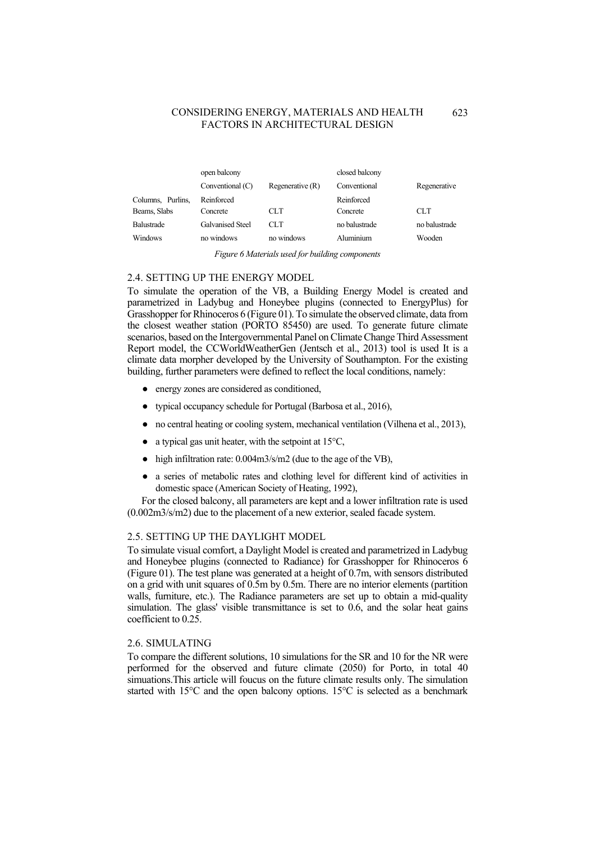|                   | open balcony            |                    | closed balcony |               |
|-------------------|-------------------------|--------------------|----------------|---------------|
|                   | Conventional (C)        | Regenerative $(R)$ | Conventional   | Regenerative  |
| Columns, Purlins, | Reinforced              |                    | Reinforced     |               |
| Beams, Slabs      | Concrete                | CLT.               | Concrete       | <b>CLT</b>    |
| <b>Balustrade</b> | <b>Galvanised Steel</b> | CLT.               | no balustrade  | no balustrade |
| <b>Windows</b>    | no windows              | no windows         | Aluminium      | Wooden        |

*Figure 6 Materials used for building components*

#### 2.4. SETTING UP THE ENERGY MODEL

To simulate the operation of the VB, a Building Energy Model is created and parametrized in Ladybug and Honeybee plugins (connected to EnergyPlus) for Grasshopper for Rhinoceros 6 (Figure 01). To simulate the observed climate, data from the closest weather station (PORTO 85450) are used. To generate future climate scenarios, based on the Intergovernmental Panel on Climate Change Third Assessment Report model, the CCWorldWeatherGen (Jentsch et al., 2013) tool is used It is a climate data morpher developed by the University of Southampton. For the existing building, further parameters were defined to reflect the local conditions, namely:

- energy zones are considered as conditioned,
- typical occupancy schedule for Portugal (Barbosa et al., 2016),
- no central heating or cooling system, mechanical ventilation (Vilhena et al., 2013),
- $\bullet$  a typical gas unit heater, with the setpoint at 15°C,
- high infiltration rate: 0.004m3/s/m2 (due to the age of the VB),
- a series of metabolic rates and clothing level for different kind of activities in domestic space (American Society of Heating, 1992),

For the closed balcony, all parameters are kept and a lower infiltration rate is used (0.002m3/s/m2) due to the placement of a new exterior, sealed facade system.

### 2.5. SETTING UP THE DAYLIGHT MODEL

To simulate visual comfort, a Daylight Model is created and parametrized in Ladybug and Honeybee plugins (connected to Radiance) for Grasshopper for Rhinoceros 6 (Figure 01). The test plane was generated at a height of 0.7m, with sensors distributed on a grid with unit squares of 0.5m by 0.5m. There are no interior elements (partition walls, furniture, etc.). The Radiance parameters are set up to obtain a mid-quality simulation. The glass' visible transmittance is set to 0.6, and the solar heat gains coefficient to 0.25.

#### 2.6. SIMULATING

To compare the different solutions, 10 simulations for the SR and 10 for the NR were performed for the observed and future climate (2050) for Porto, in total 40 simuations.This article will foucus on the future climate results only. The simulation started with 15°C and the open balcony options. 15°C is selected as a benchmark

623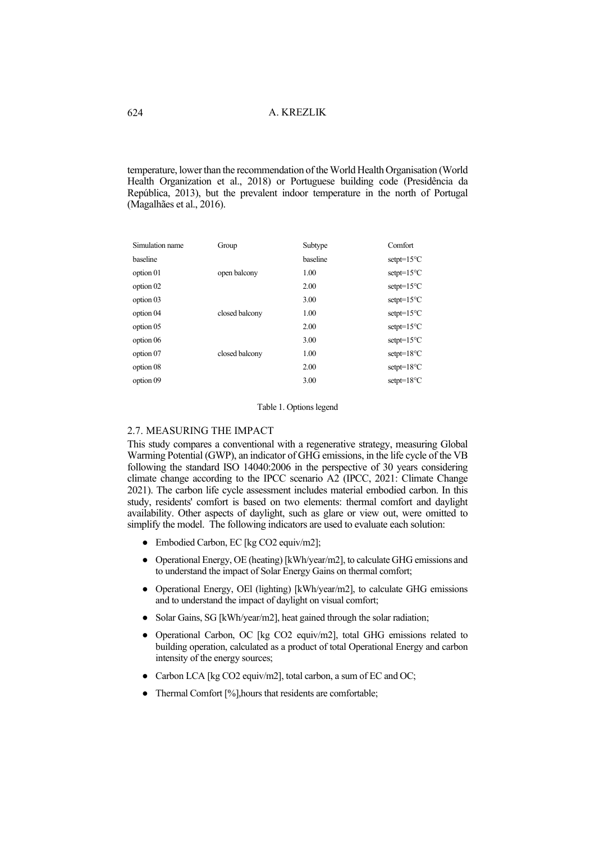temperature, lower than the recommendation of the World Health Organisation (World Health Organization et al., 2018) or Portuguese building code (Presidência da República, 2013), but the prevalent indoor temperature in the north of Portugal (Magalhães et al., 2016).

| Group          | Subtype  | Comfort               |
|----------------|----------|-----------------------|
|                | baseline | $setpt = 15^{\circ}C$ |
| open balcony   | 1.00     | $setpt = 15^{\circ}C$ |
|                | 2.00     | $setpt = 15^{\circ}C$ |
|                | 3.00     | $setpt = 15^{\circ}C$ |
| closed balcony | 1.00     | $setpt = 15^{\circ}C$ |
|                | 2.00     | $setpt = 15^{\circ}C$ |
|                | 3.00     | $setpt = 15^{\circ}C$ |
| closed balcony | 1.00     | $setpt = 18^{\circ}C$ |
|                | 2.00     | $setpt = 18^{\circ}C$ |
|                | 3.00     | $setpt = 18^{\circ}C$ |
|                |          |                       |

Table 1. Options legend

# 2.7. MEASURING THE IMPACT

This study compares a conventional with a regenerative strategy, measuring Global Warming Potential (GWP), an indicator of GHG emissions, in the life cycle of the VB following the standard ISO 14040:2006 in the perspective of 30 years considering climate change according to the IPCC scenario A2 (IPCC, 2021: Climate Change 2021). The carbon life cycle assessment includes material embodied carbon. In this study, residents' comfort is based on two elements: thermal comfort and daylight availability. Other aspects of daylight, such as glare or view out, were omitted to simplify the model. The following indicators are used to evaluate each solution:

- Embodied Carbon, EC [kg CO2 equiv/m2];
- Operational Energy, OE (heating) [kWh/year/m2], to calculate GHG emissions and to understand the impact of Solar Energy Gains on thermal comfort;
- Operational Energy, OEl (lighting) [kWh/year/m2], to calculate GHG emissions and to understand the impact of daylight on visual comfort;
- Solar Gains, SG [kWh/year/m2], heat gained through the solar radiation;
- Operational Carbon, OC [kg CO2 equiv/m2], total GHG emissions related to building operation, calculated as a product of total Operational Energy and carbon intensity of the energy sources;
- Carbon LCA [kg CO2 equiv/m2], total carbon, a sum of EC and OC;
- Thermal Comfort [%],hours that residents are comfortable;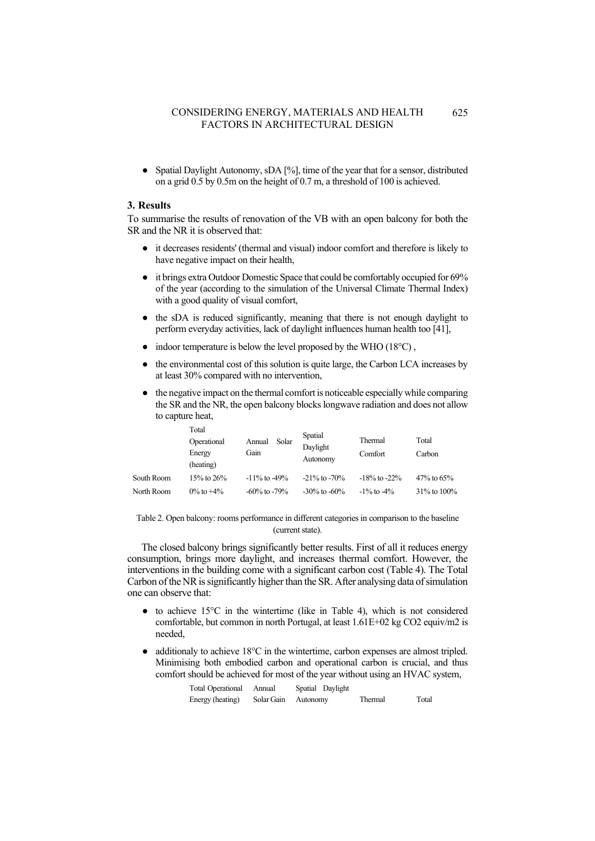Spatial Daylight Autonomy, sDA  $[%]$ , time of the year that for a sensor, distributed on a grid 0.5 by 0.5m on the height of 0.7 m, a threshold of 100 is achieved.

# **3. Results**

To summarise the results of renovation of the VB with an open balcony for both the SR and the NR it is observed that:

- it decreases residents' (thermal and visual) indoor comfort and therefore is likely to have negative impact on their health,
- it brings extra Outdoor Domestic Space that could be comfortably occupied for 69% of the year (according to the simulation of the Universal Climate Thermal Index) with a good quality of visual comfort,
- the sDA is reduced significantly, meaning that there is not enough daylight to perform everyday activities, lack of daylight influences human health too [\[41\],](https://www.zotero.org/google-docs/?IqxM8X)
- $\bullet$  indoor temperature is below the level proposed by the WHO (18 $^{\circ}$ C),
- the environmental cost of this solution is quite large, the Carbon LCA increases by at least 30% compared with no intervention,
- the negative impact on the thermal comfort is noticeable especially while comparing the SR and the NR, the open balcony blocks longwave radiation and does not allow to capture heat,

|            | Total<br>Operational<br>Energy<br>(heating) | Solar<br>Annual<br>Gain | Spatial<br>Daylight<br>Autonomy | Thermal<br>Comfort | Total<br>Carbon |
|------------|---------------------------------------------|-------------------------|---------------------------------|--------------------|-----------------|
| South Room | 15% to $26%$                                | $-11\%$ to $-49\%$      | $-21\%$ to $-70\%$              | $-18\%$ to $-22\%$ | $47\%$ to 65%   |
| North Room | $0\%$ to $+4\%$                             | $-60\%$ to $-79\%$      | $-30\%$ to $-60\%$              | $-1\%$ to $-4\%$   | 31% to 100%     |

Table 2. Open balcony: rooms performance in different categories in comparison to the baseline (current state).

The closed balcony brings significantly better results. First of all it reduces energy consumption, brings more daylight, and increases thermal comfort. However, the interventions in the building come with a significant carbon cost (Table 4). The Total Carbon of the NR is significantly higher than the SR. After analysing data of simulation one can observe that:

- $\bullet$  to achieve 15°C in the wintertime (like in Table 4), which is not considered comfortable, but common in north Portugal, at least 1.61E+02 kg CO2 equiv/m2 is needed,
- additionaly to achieve  $18^{\circ}$ C in the wintertime, carbon expenses are almost tripled. Minimising both embodied carbon and operational carbon is crucial, and thus comfort should be achieved for most of the year without using an HVAC system,

| Total Operational Annual |                     | Spatial Daylight |         |       |
|--------------------------|---------------------|------------------|---------|-------|
| Energy (heating)         | Solar Gain Autonomy |                  | Thermal | Total |

625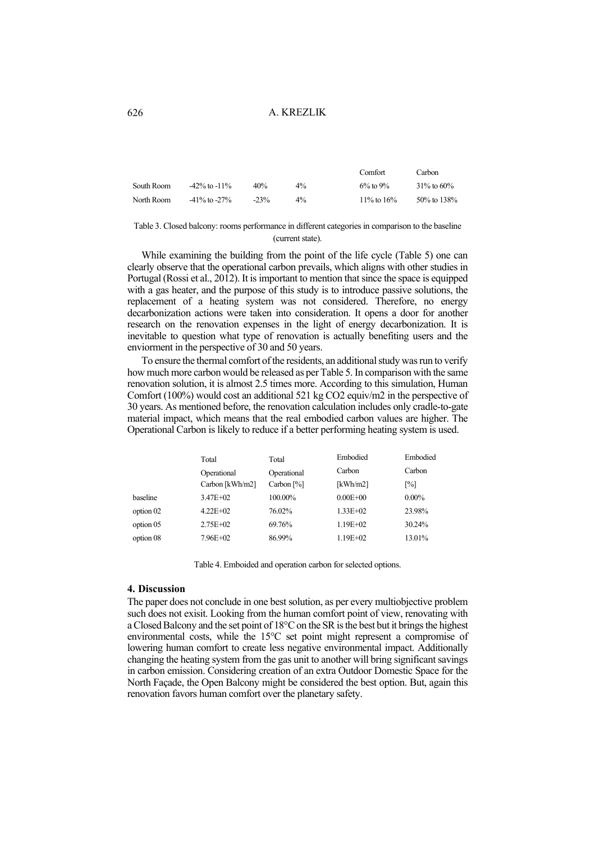|            |                    |        |       | Comfort        | Carbon            |
|------------|--------------------|--------|-------|----------------|-------------------|
| South Room | $-42\%$ to $-11\%$ | 40%    | $4\%$ | $6\%$ to $9\%$ | $31\%$ to 60%     |
| North Room | $-41\%$ to $-27\%$ | $-23%$ | $4\%$ | 11\% to 16\%   | $50\%$ to $138\%$ |

Table 3. Closed balcony: rooms performance in different categories in comparison to the baseline (current state).

While examining the building from the point of the life cycle (Table 5) one can clearly observe that the operational carbon prevails, which aligns with other studies in Portugal (Rossi et al., 2012). It is important to mention that since the space is equipped with a gas heater, and the purpose of this study is to introduce passive solutions, the replacement of a heating system was not considered. Therefore, no energy decarbonization actions were taken into consideration. It opens a door for another research on the renovation expenses in the light of energy decarbonization. It is inevitable to question what type of renovation is actually benefiting users and the enviorment in the perspective of 30 and 50 years.

To ensure the thermal comfort of the residents, an additional study was run to verify how much more carbon would be released as per Table 5. In comparison with the same renovation solution, it is almost 2.5 times more. According to this simulation, Human Comfort (100%) would cost an additional 521 kg CO2 equiv/m2 in the perspective of 30 years. As mentioned before, the renovation calculation includes only cradle-to-gate material impact, which means that the real embodied carbon values are higher. The Operational Carbon is likely to reduce if a better performing heating system is used.

|           | Total           | Total         | Embodied     | Embodied |
|-----------|-----------------|---------------|--------------|----------|
|           | Operational     | Operational   | Carbon       | Carbon   |
|           | Carbon [kWh/m2] | Carbon $[\%]$ | [kWh/m2]     | [%]      |
| baseline  | $3.47E + 02$    | 100.00%       | $0.00E + 00$ | $0.00\%$ |
| option 02 | $4.22E+02$      | 76.02%        | $1.33E + 02$ | 23.98%   |
| option 05 | $2.75E + 02$    | 69.76%        | $1.19E + 02$ | 30.24%   |
| option 08 | $7.96E + 02$    | 86.99%        | $1.19E + 02$ | 13.01%   |
|           |                 |               |              |          |

Table 4. Emboided and operation carbon for selected options.

#### **4. Discussion**

The paper does not conclude in one best solution, as per every multiobjective problem such does not exisit. Looking from the human comfort point of view, renovating with a Closed Balcony and the set point of 18°C on the SR is the best but it brings the highest environmental costs, while the 15°C set point might represent a compromise of lowering human comfort to create less negative environmental impact. Additionally changing the heating system from the gas unit to another will bring significant savings in carbon emission. Considering creation of an extra Outdoor Domestic Space for the North Façade, the Open Balcony might be considered the best option. But, again this renovation favors human comfort over the planetary safety.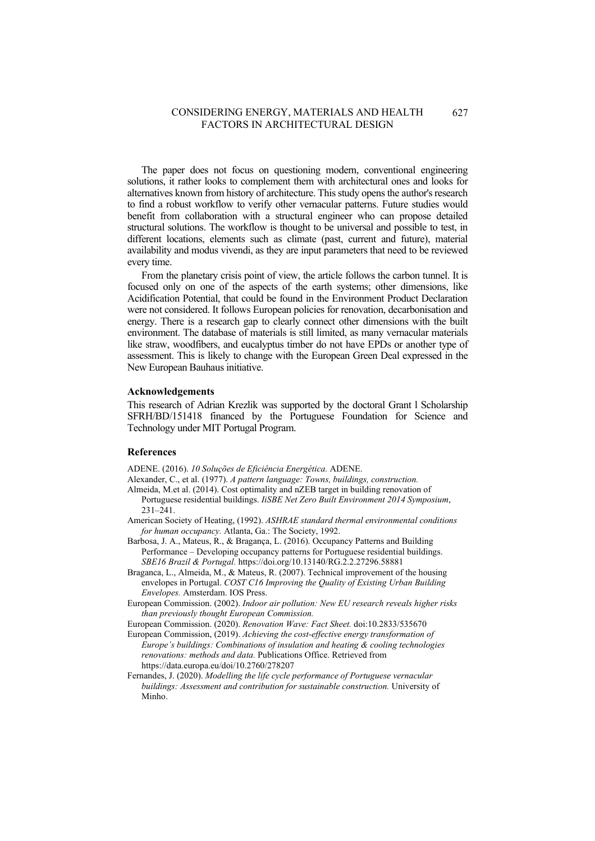The paper does not focus on questioning modern, conventional engineering solutions, it rather looks to complement them with architectural ones and looks for alternatives known from history of architecture. This study opens the author's research to find a robust workflow to verify other vernacular patterns. Future studies would benefit from collaboration with a structural engineer who can propose detailed structural solutions. The workflow is thought to be universal and possible to test, in different locations, elements such as climate (past, current and future), material availability and modus vivendi, as they are input parameters that need to be reviewed every time.

From the planetary crisis point of view, the article follows the carbon tunnel. It is focused only on one of the aspects of the earth systems; other dimensions, like Acidification Potential, that could be found in the Environment Product Declaration were not considered. It follows European policies for renovation, decarbonisation and energy. There is a research gap to clearly connect other dimensions with the built environment. The database of materials is still limited, as many vernacular materials like straw, woodfibers, and eucalyptus timber do not have EPDs or another type of assessment. This is likely to change with the European Green Deal expressed in the New European Bauhaus initiative.

#### **Acknowledgements**

This research of Adrian Krezlik was supported by the doctoral Grant l Scholarship SFRH/BD/151418 financed by the Portuguese Foundation for Science and Technology under MIT Portugal Program.

# **References**

ADENE. (2016). *10 Soluções de Eficiência Energética.* ADENE.

- Alexander, C., et al. (1977). *A pattern language: Towns, buildings, construction.*
- Almeida, M.et al. (2014). Cost optimality and nZEB target in building renovation of Portuguese residential buildings. *IiSBE Net Zero Built Environment 2014 Symposium*, 231–241.
- American Society of Heating, (1992). *ASHRAE standard thermal environmental conditions for human occupancy.* Atlanta, Ga.: The Society, 1992.
- Barbosa, J. A., Mateus, R., & Bragança, L. (2016). Occupancy Patterns and Building Performance – Developing occupancy patterns for Portuguese residential buildings. *SBE16 Brazil & Portugal.* https://doi.org/10.13140/RG.2.2.27296.58881
- Braganca, L., Almeida, M., & Mateus, R. (2007). Technical improvement of the housing envelopes in Portugal. *COST C16 Improving the Quality of Existing Urban Building Envelopes.* Amsterdam. IOS Press.
- European Commission. (2002). *Indoor air pollution: New EU research reveals higher risks than previously thought European Commission.*
- European Commission. (2020). *Renovation Wave: Fact Sheet.* doi:10.2833/535670
- European Commission, (2019). *Achieving the cost-effective energy transformation of Europe's buildings: Combinations of insulation and heating & cooling technologies renovations: methods and data.* Publications Office. Retrieved from https://data.europa.eu/doi/10.2760/278207
- Fernandes, J. (2020). *Modelling the life cycle performance of Portuguese vernacular buildings: Assessment and contribution for sustainable construction.* University of Minho.